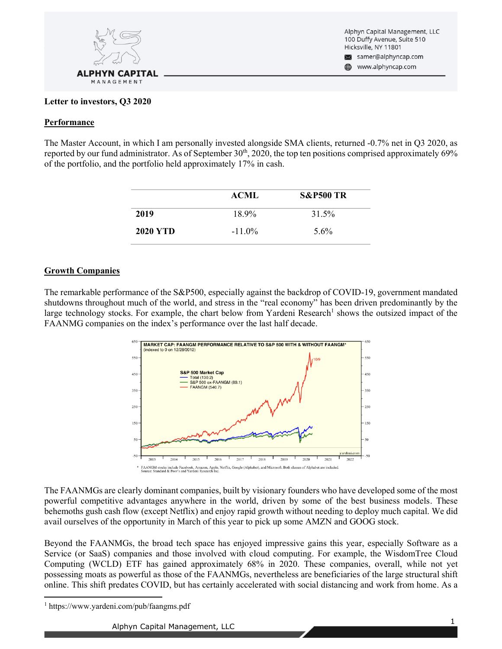

Alphyn Capital Management, LLC 100 Duffy Avenue, Suite 510 Hicksville, NY 11801  $\bowtie$ samer@alphyncap.com www.alphyncap.com

#### **Letter to investors, Q3 2020**

#### **Performance**

The Master Account, in which I am personally invested alongside SMA clients, returned -0.7% net in Q3 2020, as reported by our fund administrator. As of September  $30<sup>th</sup>$ , 2020, the top ten positions comprised approximately 69% of the portfolio, and the portfolio held approximately 17% in cash.

|                 | <b>ACML</b> | <b>S&amp;P500 TR</b> |
|-----------------|-------------|----------------------|
| 2019            | 18.9%       | 31.5%                |
| <b>2020 YTD</b> | $-11.0\%$   | 5.6%                 |

### **Growth Companies**

The remarkable performance of the S&P500, especially against the backdrop of COVID-19, government mandated shutdowns throughout much of the world, and stress in the "real economy" has been driven predominantly by the large technology stocks. For example, the chart below from Yardeni Research<sup>1</sup> shows the outsized impact of the FAANMG companies on the index's performance over the last half decade.



The FAANMGs are clearly dominant companies, built by visionary founders who have developed some of the most powerful competitive advantages anywhere in the world, driven by some of the best business models. These behemoths gush cash flow (except Netflix) and enjoy rapid growth without needing to deploy much capital. We did avail ourselves of the opportunity in March of this year to pick up some AMZN and GOOG stock.

Beyond the FAANMGs, the broad tech space has enjoyed impressive gains this year, especially Software as a Service (or SaaS) companies and those involved with cloud computing. For example, the WisdomTree Cloud Computing (WCLD) ETF has gained approximately 68% in 2020. These companies, overall, while not yet possessing moats as powerful as those of the FAANMGs, nevertheless are beneficiaries of the large structural shift online. This shift predates COVID, but has certainly accelerated with social distancing and work from home. As a

<sup>1</sup> https://www.yardeni.com/pub/faangms.pdf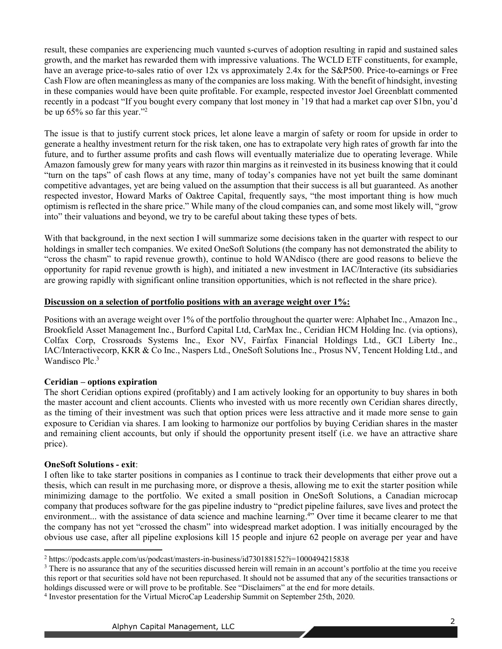result, these companies are experiencing much vaunted s-curves of adoption resulting in rapid and sustained sales growth, and the market has rewarded them with impressive valuations. The WCLD ETF constituents, for example, have an average price-to-sales ratio of over 12x vs approximately 2.4x for the S&P500. Price-to-earnings or Free Cash Flow are often meaningless as many of the companies are loss making. With the benefit of hindsight, investing in these companies would have been quite profitable. For example, respected investor Joel Greenblatt commented recently in a podcast "If you bought every company that lost money in '19 that had a market cap over \$1bn, you'd be up  $65\%$  so far this year."<sup>2</sup>

The issue is that to justify current stock prices, let alone leave a margin of safety or room for upside in order to generate a healthy investment return for the risk taken, one has to extrapolate very high rates of growth far into the future, and to further assume profits and cash flows will eventually materialize due to operating leverage. While Amazon famously grew for many years with razor thin margins as it reinvested in its business knowing that it could "turn on the taps" of cash flows at any time, many of today's companies have not yet built the same dominant competitive advantages, yet are being valued on the assumption that their success is all but guaranteed. As another respected investor, Howard Marks of Oaktree Capital, frequently says, "the most important thing is how much optimism is reflected in the share price." While many of the cloud companies can, and some most likely will, "grow into" their valuations and beyond, we try to be careful about taking these types of bets.

With that background, in the next section I will summarize some decisions taken in the quarter with respect to our holdings in smaller tech companies. We exited OneSoft Solutions (the company has not demonstrated the ability to "cross the chasm" to rapid revenue growth), continue to hold WANdisco (there are good reasons to believe the opportunity for rapid revenue growth is high), and initiated a new investment in IAC/Interactive (its subsidiaries are growing rapidly with significant online transition opportunities, which is not reflected in the share price).

### **Discussion on a selection of portfolio positions with an average weight over 1%:**

Positions with an average weight over 1% of the portfolio throughout the quarter were: Alphabet Inc., Amazon Inc., Brookfield Asset Management Inc., Burford Capital Ltd, CarMax Inc., Ceridian HCM Holding Inc. (via options), Colfax Corp, Crossroads Systems Inc., Exor NV, Fairfax Financial Holdings Ltd., GCI Liberty Inc., IAC/Interactivecorp, KKR & Co Inc., Naspers Ltd., OneSoft Solutions Inc., Prosus NV, Tencent Holding Ltd., and Wandisco Plc.<sup>3</sup>

## **Ceridian – options expiration**

The short Ceridian options expired (profitably) and I am actively looking for an opportunity to buy shares in both the master account and client accounts. Clients who invested with us more recently own Ceridian shares directly, as the timing of their investment was such that option prices were less attractive and it made more sense to gain exposure to Ceridian via shares. I am looking to harmonize our portfolios by buying Ceridian shares in the master and remaining client accounts, but only if should the opportunity present itself (i.e. we have an attractive share price).

## **OneSoft Solutions - exit**:

I often like to take starter positions in companies as I continue to track their developments that either prove out a thesis, which can result in me purchasing more, or disprove a thesis, allowing me to exit the starter position while minimizing damage to the portfolio. We exited a small position in OneSoft Solutions, a Canadian microcap company that produces software for the gas pipeline industry to "predict pipeline failures, save lives and protect the environment... with the assistance of data science and machine learning.<sup>4</sup>" Over time it became clearer to me that the company has not yet "crossed the chasm" into widespread market adoption. I was initially encouraged by the obvious use case, after all pipeline explosions kill 15 people and injure 62 people on average per year and have

 $2 \text{ https://podcasts.apple.com/us/podcast/masters-in-business/i}$ d730188152?i=1000494215838

 $3$  There is no assurance that any of the securities discussed herein will remain in an account's portfolio at the time you receive this report or that securities sold have not been repurchased. It should not be assumed that any of the securities transactions or holdings discussed were or will prove to be profitable. See "Disclaimers" at the end for more details.

<sup>4</sup> Investor presentation for the Virtual MicroCap Leadership Summit on September 25th, 2020.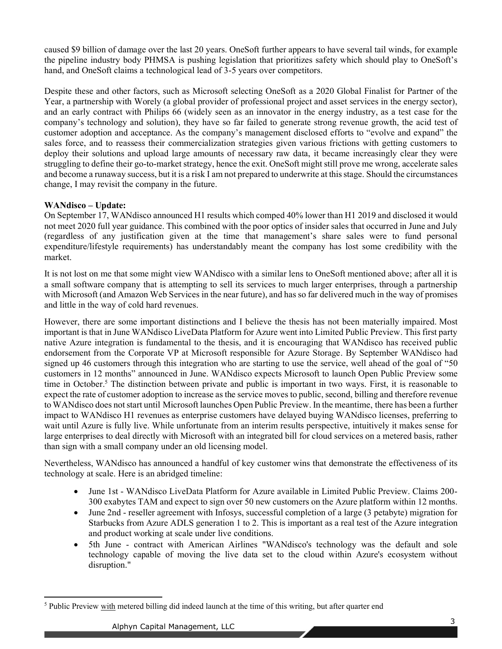caused \$9 billion of damage over the last 20 years. OneSoft further appears to have several tail winds, for example the pipeline industry body PHMSA is pushing legislation that prioritizes safety which should play to OneSoft's hand, and OneSoft claims a technological lead of 3-5 years over competitors.

Despite these and other factors, such as Microsoft selecting OneSoft as a 2020 Global Finalist for Partner of the Year, a partnership with Worely (a global provider of professional project and asset services in the energy sector), and an early contract with Philips 66 (widely seen as an innovator in the energy industry, as a test case for the company's technology and solution), they have so far failed to generate strong revenue growth, the acid test of customer adoption and acceptance. As the company's management disclosed efforts to "evolve and expand" the sales force, and to reassess their commercialization strategies given various frictions with getting customers to deploy their solutions and upload large amounts of necessary raw data, it became increasingly clear they were struggling to define their go-to-market strategy, hence the exit. OneSoft might still prove me wrong, accelerate sales and become a runaway success, but it is a risk I am not prepared to underwrite at this stage. Should the circumstances change, I may revisit the company in the future.

## **WANdisco – Update:**

On September 17, WANdisco announced H1 results which comped 40% lower than H1 2019 and disclosed it would not meet 2020 full year guidance. This combined with the poor optics of insider sales that occurred in June and July (regardless of any justification given at the time that management's share sales were to fund personal expenditure/lifestyle requirements) has understandably meant the company has lost some credibility with the market.

It is not lost on me that some might view WANdisco with a similar lens to OneSoft mentioned above; after all it is a small software company that is attempting to sell its services to much larger enterprises, through a partnership with Microsoft (and Amazon Web Services in the near future), and has so far delivered much in the way of promises and little in the way of cold hard revenues.

However, there are some important distinctions and I believe the thesis has not been materially impaired. Most important is that in June WANdisco LiveData Platform for Azure went into Limited Public Preview. This first party native Azure integration is fundamental to the thesis, and it is encouraging that WANdisco has received public endorsement from the Corporate VP at Microsoft responsible for Azure Storage. By September WANdisco had signed up 46 customers through this integration who are starting to use the service, well ahead of the goal of "50 customers in 12 months" announced in June. WANdisco expects Microsoft to launch Open Public Preview some time in October.<sup>5</sup> The distinction between private and public is important in two ways. First, it is reasonable to expect the rate of customer adoption to increase as the service moves to public, second, billing and therefore revenue to WANdisco does not start until Microsoft launches Open Public Preview. In the meantime, there has been a further impact to WANdisco H1 revenues as enterprise customers have delayed buying WANdisco licenses, preferring to wait until Azure is fully live. While unfortunate from an interim results perspective, intuitively it makes sense for large enterprises to deal directly with Microsoft with an integrated bill for cloud services on a metered basis, rather than sign with a small company under an old licensing model.

Nevertheless, WANdisco has announced a handful of key customer wins that demonstrate the effectiveness of its technology at scale. Here is an abridged timeline:

- June 1st WANdisco LiveData Platform for Azure available in Limited Public Preview. Claims 200-300 exabytes TAM and expect to sign over 50 new customers on the Azure platform within 12 months.
- June 2nd reseller agreement with Infosys, successful completion of a large (3 petabyte) migration for Starbucks from Azure ADLS generation 1 to 2. This is important as a real test of the Azure integration and product working at scale under live conditions.
- 5th June contract with American Airlines "WANdisco's technology was the default and sole technology capable of moving the live data set to the cloud within Azure's ecosystem without disruption."

<sup>5</sup> Public Preview with metered billing did indeed launch at the time of this writing, but after quarter end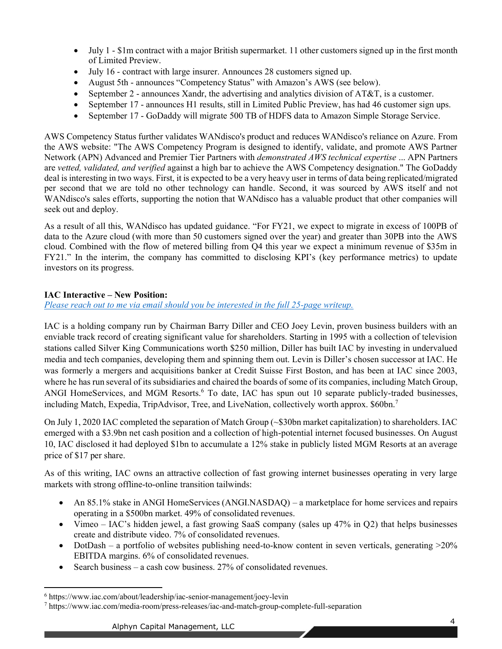- July 1 \$1m contract with a major British supermarket. 11 other customers signed up in the first month of Limited Preview.
- July 16 contract with large insurer. Announces 28 customers signed up.
- August 5th announces "Competency Status" with Amazon's AWS (see below).
- Experiment September 2 announces Xandr, the advertising and analytics division of  $AT&T$ , is a customer.
- September 17 announces H1 results, still in Limited Public Preview, has had 46 customer sign ups.
- September 17 GoDaddy will migrate 500 TB of HDFS data to Amazon Simple Storage Service.

AWS Competency Status further validates WANdisco's product and reduces WANdisco's reliance on Azure. From the AWS website: "The AWS Competency Program is designed to identify, validate, and promote AWS Partner Network (APN) Advanced and Premier Tier Partners with *demonstrated AWS technical expertise* ... APN Partners are *vetted, validated, and verified* against a high bar to achieve the AWS Competency designation." The GoDaddy deal is interesting in two ways. First, it is expected to be a very heavy user in terms of data being replicated/migrated per second that we are told no other technology can handle. Second, it was sourced by AWS itself and not WANdisco's sales efforts, supporting the notion that WANdisco has a valuable product that other companies will seek out and deploy.

As a result of all this, WANdisco has updated guidance. "For FY21, we expect to migrate in excess of 100PB of data to the Azure cloud (with more than 50 customers signed over the year) and greater than 30PB into the AWS cloud. Combined with the flow of metered billing from Q4 this year we expect a minimum revenue of \$35m in FY21." In the interim, the company has committed to disclosing KPI's (key performance metrics) to update investors on its progress.

# **IAC Interactive – New Position:**

*[Please reach out to me via email should you be interested in the full 25-page writeup.](mailto:samer@alphyncap.com)*

IAC is a holding company run by Chairman Barry Diller and CEO Joey Levin, proven business builders with an enviable track record of creating significant value for shareholders. Starting in 1995 with a collection of television stations called Silver King Communications worth \$250 million, Diller has built IAC by investing in undervalued media and tech companies, developing them and spinning them out. Levin is Diller's chosen successor at IAC. He was formerly a mergers and acquisitions banker at Credit Suisse First Boston, and has been at IAC since 2003, where he has run several of its subsidiaries and chaired the boards of some of its companies, including Match Group, ANGI HomeServices, and MGM Resorts.<sup>6</sup> To date, IAC has spun out 10 separate publicly-traded businesses, including Match, Expedia, TripAdvisor, Tree, and LiveNation, collectively worth approx. \$60bn.7

On July 1, 2020 IAC completed the separation of Match Group (~\$30bn market capitalization) to shareholders. IAC emerged with a \$3.9bn net cash position and a collection of high-potential internet focused businesses. On August 10, IAC disclosed it had deployed \$1bn to accumulate a 12% stake in publicly listed MGM Resorts at an average price of \$17 per share.

As of this writing, IAC owns an attractive collection of fast growing internet businesses operating in very large markets with strong offline-to-online transition tailwinds:

- An 85.1% stake in ANGI HomeServices (ANGI.NASDAQ)  $-$  a marketplace for home services and repairs operating in a \$500bn market. 49% of consolidated revenues.
- Vimeo IAC's hidden jewel, a fast growing SaaS company (sales up  $47\%$  in Q2) that helps businesses create and distribute video. 7% of consolidated revenues.
- DotDash a portfolio of websites publishing need-to-know content in seven verticals, generating  $>20\%$ EBITDA margins. 6% of consolidated revenues.
- Exerch business  $-$  a cash cow business. 27% of consolidated revenues.

<sup>6</sup> https://www.iac.com/about/leadership/iac-senior-management/joey-levin

<sup>7</sup> https://www.iac.com/media-room/press-releases/iac-and-match-group-complete-full-separation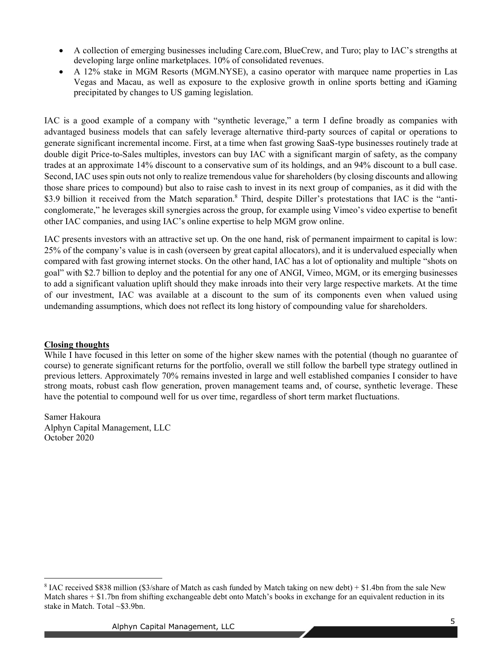- A collection of emerging businesses including Care.com, BlueCrew, and Turo; play to IAC's strengths at developing large online marketplaces. 10% of consolidated revenues.
- A 12% stake in MGM Resorts (MGM.NYSE), a casino operator with marquee name properties in Las Vegas and Macau, as well as exposure to the explosive growth in online sports betting and iGaming precipitated by changes to US gaming legislation.

IAC is a good example of a company with "synthetic leverage," a term I define broadly as companies with advantaged business models that can safely leverage alternative third-party sources of capital or operations to generate significant incremental income. First, at a time when fast growing SaaS-type businesses routinely trade at double digit Price-to-Sales multiples, investors can buy IAC with a significant margin of safety, as the company trades at an approximate 14% discount to a conservative sum of its holdings, and an 94% discount to a bull case. Second, IAC uses spin outs not only to realize tremendous value for shareholders (by closing discounts and allowing those share prices to compound) but also to raise cash to invest in its next group of companies, as it did with the \$3.9 billion it received from the Match separation.<sup>8</sup> Third, despite Diller's protestations that IAC is the "anticonglomerate," he leverages skill synergies across the group, for example using Vimeo's video expertise to benefit other IAC companies, and using IAC's online expertise to help MGM grow online.

IAC presents investors with an attractive set up. On the one hand, risk of permanent impairment to capital is low: 25% of the company's value is in cash (overseen by great capital allocators), and it is undervalued especially when compared with fast growing internet stocks. On the other hand, IAC has a lot of optionality and multiple "shots on goal" with \$2.7 billion to deploy and the potential for any one of ANGI, Vimeo, MGM, or its emerging businesses to add a significant valuation uplift should they make inroads into their very large respective markets. At the time of our investment, IAC was available at a discount to the sum of its components even when valued using undemanding assumptions, which does not reflect its long history of compounding value for shareholders.

## **Closing thoughts**

While I have focused in this letter on some of the higher skew names with the potential (though no guarantee of course) to generate significant returns for the portfolio, overall we still follow the barbell type strategy outlined in previous letters. Approximately 70% remains invested in large and well established companies I consider to have strong moats, robust cash flow generation, proven management teams and, of course, synthetic leverage. These have the potential to compound well for us over time, regardless of short term market fluctuations.

Samer Hakoura Alphyn Capital Management, LLC October 2020

<sup>8</sup> IAC received \$838 million (\$3/share of Match as cash funded by Match taking on new debt) + \$1.4bn from the sale New Match shares  $+ $1.7$ bn from shifting exchangeable debt onto Match's books in exchange for an equivalent reduction in its stake in Match. Total ~\$3.9bn.